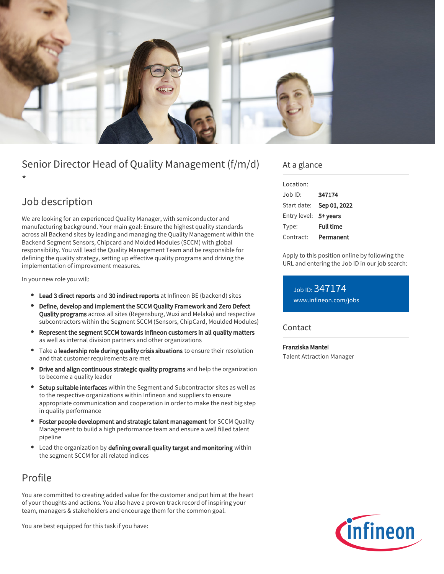

# Senior Director Head of Quality Management (f/m/d)

\*

# Job description

We are looking for an experienced Quality Manager, with semiconductor and manufacturing background. Your main goal: Ensure the highest quality standards across all Backend sites by leading and managing the Quality Management within the Backend Segment Sensors, Chipcard and Molded Modules (SCCM) with global responsibility. You will lead the Quality Management Team and be responsible for defining the quality strategy, setting up effective quality programs and driving the implementation of improvement measures.

In your new role you will:

- Lead 3 direct reports and 30 indirect reports at Infineon BE (backend) sites
- Define, develop and implement the SCCM Quality Framework and Zero Defect Quality programs across all sites (Regensburg, Wuxi and Melaka) and respective subcontractors within the Segment SCCM (Sensors, ChipCard, Moulded Modules)
- Represent the segment SCCM towards Infineon customers in all quality matters as well as internal division partners and other organizations
- Take a leadership role during quality crisis situations to ensure their resolution and that customer requirements are met
- $\bullet$ Drive and align continuous strategic quality programs and help the organization to become a quality leader
- Setup suitable interfaces within the Segment and Subcontractor sites as well as to the respective organizations within Infineon and suppliers to ensure appropriate communication and cooperation in order to make the next big step in quality performance
- Foster people development and strategic talent management for SCCM Quality Management to build a high performance team and ensure a well filled talent pipeline
- Lead the organization by defining overall quality target and monitoring within the segment SCCM for all related indices

## Profile

You are committed to creating added value for the customer and put him at the heart of your thoughts and actions. You also have a proven track record of inspiring your team, managers & stakeholders and encourage them for the common goal.

You are best equipped for this task if you have:

### At a glance

| I ocation:            |                  |
|-----------------------|------------------|
| Job ID:               | 347174           |
| Start date:           | Sep 01, 2022     |
| Entry level: 5+ years |                  |
| Type:                 | <b>Full time</b> |
| Contract:             | Permanent        |

Apply to this position online by following the URL and entering the Job ID in our job search:

Job ID: 347174 [www.infineon.com/jobs](https://www.infineon.com/jobs)

### **Contact**

Franziska Mantei Talent Attraction Manager